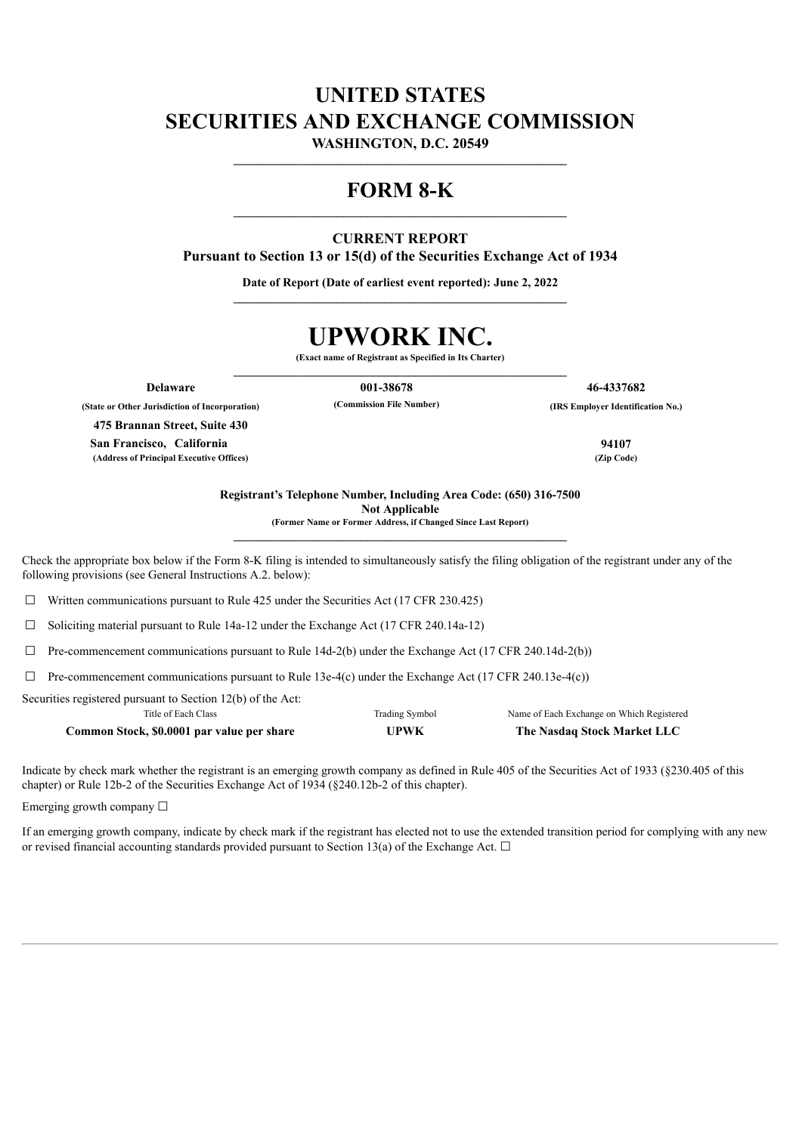# **UNITED STATES SECURITIES AND EXCHANGE COMMISSION**

**WASHINGTON, D.C. 20549 \_\_\_\_\_\_\_\_\_\_\_\_\_\_\_\_\_\_\_\_\_\_\_\_\_\_\_\_\_\_\_\_\_\_\_\_\_\_\_\_\_\_\_\_\_\_\_\_\_\_\_\_\_\_\_**

## **FORM 8-K**

### **CURRENT REPORT**

**Pursuant to Section 13 or 15(d) of the Securities Exchange Act of 1934**

**Date of Report (Date of earliest event reported): June 2, 2022 \_\_\_\_\_\_\_\_\_\_\_\_\_\_\_\_\_\_\_\_\_\_\_\_\_\_\_\_\_\_\_\_\_\_\_\_\_\_\_\_\_\_\_\_\_\_\_\_\_\_\_\_\_\_\_**

# **UPWORK INC.**

**(Exact name of Registrant as Specified in Its Charter) \_\_\_\_\_\_\_\_\_\_\_\_\_\_\_\_\_\_\_\_\_\_\_\_\_\_\_\_\_\_\_\_\_\_\_\_\_\_\_\_\_\_\_\_\_\_\_\_\_\_\_\_\_\_\_**

**Delaware 001-38678 46-4337682**

**(State or Other Jurisdiction of Incorporation) (Commission File Number) (IRS Employer Identification No.)**

**475 Brannan Street, Suite 430 San Francisco, California 94107 (Address of Principal Executive Offices) (Zip Code)**

**Registrant's Telephone Number, Including Area Code: (650) 316-7500 Not Applicable (Former Name or Former Address, if Changed Since Last Report)**

**\_\_\_\_\_\_\_\_\_\_\_\_\_\_\_\_\_\_\_\_\_\_\_\_\_\_\_\_\_\_\_\_\_\_\_\_\_\_\_\_\_\_\_\_\_\_\_\_\_\_\_\_\_\_\_**

Check the appropriate box below if the Form 8-K filing is intended to simultaneously satisfy the filing obligation of the registrant under any of the following provisions (see General Instructions A.2. below):

 $\Box$  Written communications pursuant to Rule 425 under the Securities Act (17 CFR 230.425)

☐ Soliciting material pursuant to Rule 14a-12 under the Exchange Act (17 CFR 240.14a-12)

 $\Box$  Pre-commencement communications pursuant to Rule 14d-2(b) under the Exchange Act (17 CFR 240.14d-2(b))

 $\Box$  Pre-commencement communications pursuant to Rule 13e-4(c) under the Exchange Act (17 CFR 240.13e-4(c))

Securities registered pursuant to Section 12(b) of the Act:

| Title of Each Class                        | Trading Symbol | Name of Each Exchange on Which Registered |
|--------------------------------------------|----------------|-------------------------------------------|
| Common Stock, \$0.0001 par value per share | UPWK           | The Nasdaq Stock Market LLC               |

Indicate by check mark whether the registrant is an emerging growth company as defined in Rule 405 of the Securities Act of 1933 (§230.405 of this chapter) or Rule 12b-2 of the Securities Exchange Act of 1934 (§240.12b-2 of this chapter).

Emerging growth company  $\Box$ 

If an emerging growth company, indicate by check mark if the registrant has elected not to use the extended transition period for complying with any new or revised financial accounting standards provided pursuant to Section 13(a) of the Exchange Act.  $\Box$